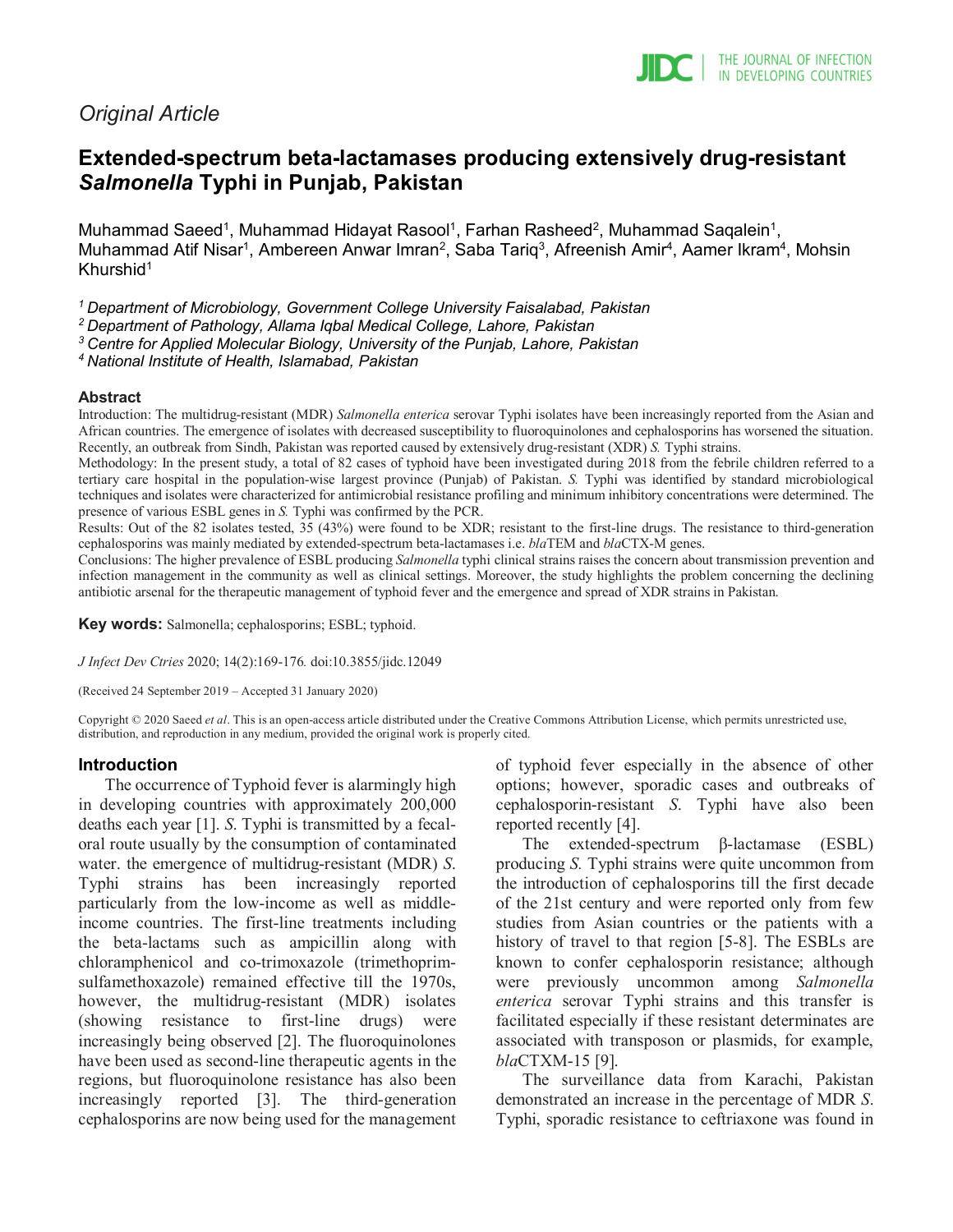# *Original Article*

# **Extended-spectrum beta-lactamases producing extensively drug-resistant**  *Salmonella* **Typhi in Punjab, Pakistan**

Muhammad Saeed<sup>1</sup>, Muhammad Hidayat Rasool<sup>1</sup>, Farhan Rasheed<sup>2</sup>, Muhammad Saqalein<sup>1</sup>, Muhammad Atif Nisar<sup>1</sup>, Ambereen Anwar Imran<sup>2</sup>, Saba Tariq<sup>3</sup>, Afreenish Amir<sup>4</sup>, Aamer Ikram<sup>4</sup>, Mohsin Khurshid $1$ 

*1 Department of Microbiology, Government College University Faisalabad, Pakistan*

*2 Department of Pathology, Allama Iqbal Medical College, Lahore, Pakistan*

*3 Centre for Applied Molecular Biology, University of the Punjab, Lahore, Pakistan*

*4 National Institute of Health, Islamabad, Pakistan*

#### **Abstract**

Introduction: The multidrug-resistant (MDR) *Salmonella enterica* serovar Typhi isolates have been increasingly reported from the Asian and African countries. The emergence of isolates with decreased susceptibility to fluoroquinolones and cephalosporins has worsened the situation. Recently, an outbreak from Sindh, Pakistan was reported caused by extensively drug-resistant (XDR) *S.* Typhi strains.

Methodology: In the present study, a total of 82 cases of typhoid have been investigated during 2018 from the febrile children referred to a tertiary care hospital in the population-wise largest province (Punjab) of Pakistan. *S.* Typhi was identified by standard microbiological techniques and isolates were characterized for antimicrobial resistance profiling and minimum inhibitory concentrations were determined. The presence of various ESBL genes in *S.* Typhi was confirmed by the PCR.

Results: Out of the 82 isolates tested, 35 (43%) were found to be XDR; resistant to the first-line drugs. The resistance to third-generation cephalosporins was mainly mediated by extended-spectrum beta-lactamases i.e. *bla*TEM and *bla*CTX-M genes.

Conclusions: The higher prevalence of ESBL producing *Salmonella* typhi clinical strains raises the concern about transmission prevention and infection management in the community as well as clinical settings. Moreover, the study highlights the problem concerning the declining antibiotic arsenal for the therapeutic management of typhoid fever and the emergence and spread of XDR strains in Pakistan.

**Key words:** Salmonella; cephalosporins; ESBL; typhoid.

*J Infect Dev Ctries* 2020; 14(2):169-176*.* doi:10.3855/jidc.12049

(Received 24 September 2019 – Accepted 31 January 2020)

Copyright © 2020 Saeed *et al*. This is an open-access article distributed under the Creative Commons Attribution License, which permits unrestricted use, distribution, and reproduction in any medium, provided the original work is properly cited.

#### **Introduction**

The occurrence of Typhoid fever is alarmingly high in developing countries with approximately 200,000 deaths each year [1]. *S*. Typhi is transmitted by a fecaloral route usually by the consumption of contaminated water. the emergence of multidrug-resistant (MDR) *S*. Typhi strains has been increasingly reported particularly from the low-income as well as middleincome countries. The first-line treatments including the beta-lactams such as ampicillin along with chloramphenicol and co-trimoxazole (trimethoprimsulfamethoxazole) remained effective till the 1970s, however, the multidrug-resistant (MDR) isolates (showing resistance to first-line drugs) were increasingly being observed [2]. The fluoroquinolones have been used as second-line therapeutic agents in the regions, but fluoroquinolone resistance has also been increasingly reported [3]. The third-generation cephalosporins are now being used for the management of typhoid fever especially in the absence of other options; however, sporadic cases and outbreaks of cephalosporin-resistant *S*. Typhi have also been reported recently [4].

The extended-spectrum β-lactamase (ESBL) producing *S.* Typhi strains were quite uncommon from the introduction of cephalosporins till the first decade of the 21st century and were reported only from few studies from Asian countries or the patients with a history of travel to that region [5-8]. The ESBLs are known to confer cephalosporin resistance; although were previously uncommon among *Salmonella enterica* serovar Typhi strains and this transfer is facilitated especially if these resistant determinates are associated with transposon or plasmids, for example, *bla*CTXM-15 [9].

The surveillance data from Karachi, Pakistan demonstrated an increase in the percentage of MDR *S*. Typhi, sporadic resistance to ceftriaxone was found in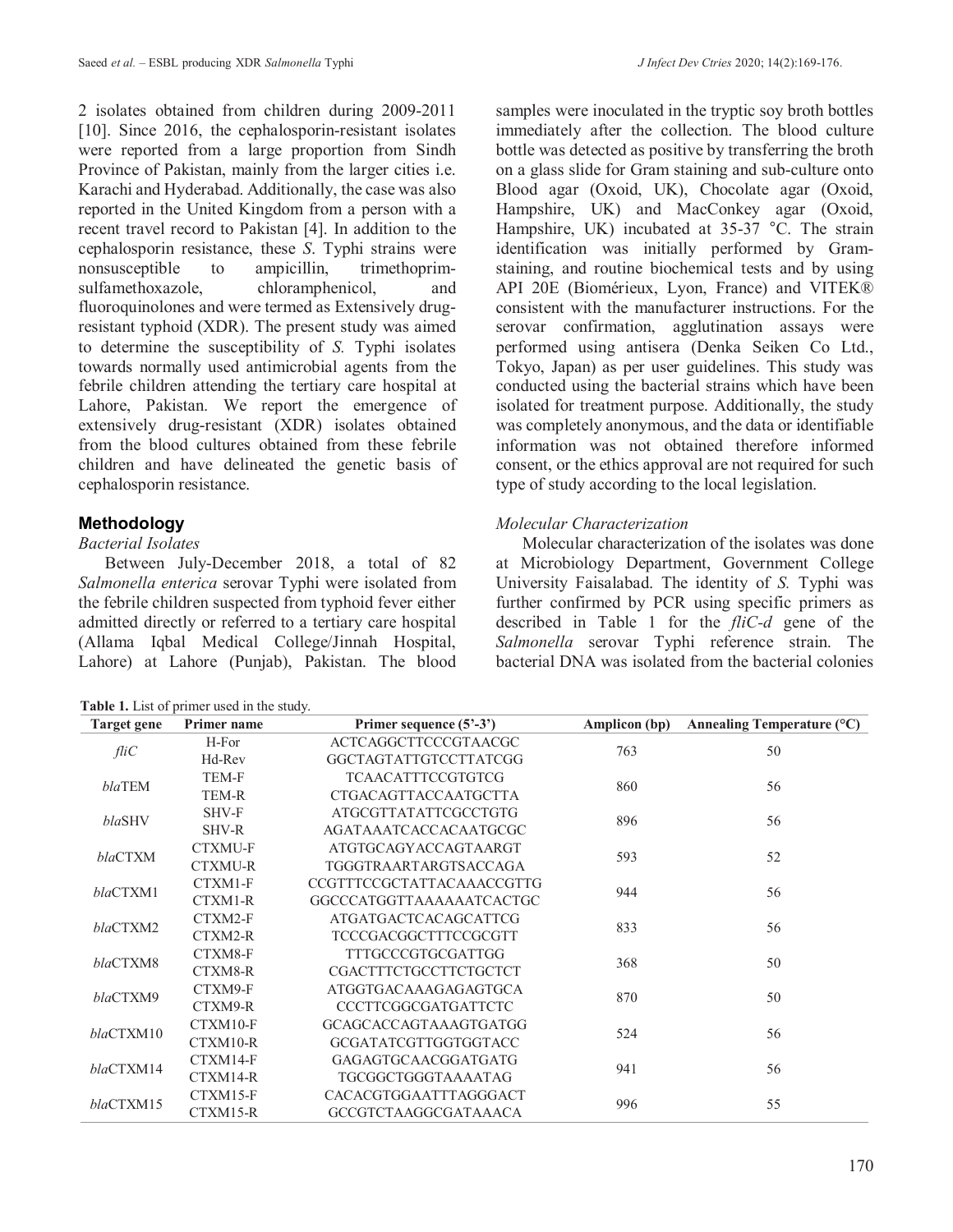2 isolates obtained from children during 2009-2011 [10]. Since 2016, the cephalosporin-resistant isolates were reported from a large proportion from Sindh Province of Pakistan, mainly from the larger cities i.e. Karachi and Hyderabad. Additionally, the case was also reported in the United Kingdom from a person with a recent travel record to Pakistan [4]. In addition to the cephalosporin resistance, these *S*. Typhi strains were nonsusceptible to ampicillin, trimethoprimsulfamethoxazole, chloramphenicol, and fluoroquinolones and were termed as Extensively drugresistant typhoid (XDR). The present study was aimed to determine the susceptibility of *S.* Typhi isolates towards normally used antimicrobial agents from the febrile children attending the tertiary care hospital at Lahore, Pakistan. We report the emergence of extensively drug-resistant (XDR) isolates obtained from the blood cultures obtained from these febrile children and have delineated the genetic basis of cephalosporin resistance.

# **Methodology**

#### *Bacterial Isolates*

Between July-December 2018, a total of 82 *Salmonella enterica* serovar Typhi were isolated from the febrile children suspected from typhoid fever either admitted directly or referred to a tertiary care hospital (Allama Iqbal Medical College/Jinnah Hospital, Lahore) at Lahore (Punjab), Pakistan. The blood

|  |  |  | Table 1. List of primer used in the study. |  |  |
|--|--|--|--------------------------------------------|--|--|
|--|--|--|--------------------------------------------|--|--|

samples were inoculated in the tryptic soy broth bottles immediately after the collection. The blood culture bottle was detected as positive by transferring the broth on a glass slide for Gram staining and sub-culture onto Blood agar (Oxoid, UK), Chocolate agar (Oxoid, Hampshire, UK) and MacConkey agar (Oxoid, Hampshire, UK) incubated at 35-37 °C. The strain identification was initially performed by Gramstaining, and routine biochemical tests and by using API 20E (Biomérieux, Lyon, France) and VITEK® consistent with the manufacturer instructions. For the serovar confirmation, agglutination assays were performed using antisera (Denka Seiken Co Ltd., Tokyo, Japan) as per user guidelines. This study was conducted using the bacterial strains which have been isolated for treatment purpose. Additionally, the study was completely anonymous, and the data or identifiable information was not obtained therefore informed consent, or the ethics approval are not required for such type of study according to the local legislation.

#### *Molecular Characterization*

Molecular characterization of the isolates was done at Microbiology Department, Government College University Faisalabad. The identity of *S.* Typhi was further confirmed by PCR using specific primers as described in Table 1 for the *fliC-d* gene of the *Salmonella* serovar Typhi reference strain. The bacterial DNA was isolated from the bacterial colonies

| <b>Target gene</b> | <b>Primer</b> name | Primer sequence (5'-3')          | Amplicon (bp) | Annealing Temperature $(^{\circ}C)$ |
|--------------------|--------------------|----------------------------------|---------------|-------------------------------------|
| fliC               | H-For              | <b>ACTCAGGCTTCCCGTAACGC</b>      | 763           | 50                                  |
|                    | Hd-Rev             | <b>GGCTAGTATTGTCCTTATCGG</b>     |               |                                     |
| blaTEM             | TEM-F              | <b>TCAACATTTCCGTGTCG</b>         | 860           | 56                                  |
|                    | <b>TEM-R</b>       | <b>CTGACAGTTACCAATGCTTA</b>      |               |                                     |
| blaSHV             | SHV-F              | <b>ATGCGTTATATTCGCCTGTG</b>      | 896           | 56                                  |
|                    | SHV-R              | AGATAAATCACCACAATGCGC            |               |                                     |
| blaCTXM            | <b>CTXMU-F</b>     | ATGTGCAGYACCAGTAARGT             | 593           | 52                                  |
|                    | <b>CTXMU-R</b>     | TGGGTRAARTARGTSACCAGA            |               |                                     |
| blaCTXM1           | CTXM1-F            | <b>CCGTTTCCGCTATTACAAACCGTTG</b> | 944           | 56                                  |
|                    | CTXM1-R            | GGCCCATGGTTAAAAAATCACTGC         |               |                                     |
| blaCTXM2           | CTXM2-F            | <b>ATGATGACTCACAGCATTCG</b>      | 833           | 56                                  |
|                    | CTXM2-R            | TCCCGACGGCTTTCCGCGTT             |               |                                     |
| blaCTXM8           | CTXM8-F            | <b>TTTGCCCGTGCGATTGG</b>         | 368           | 50                                  |
|                    | CTXM8-R            | <b>CGACTTTCTGCCTTCTGCTCT</b>     |               |                                     |
| blaCTXM9           | CTXM9-F            | ATGGTGACAAAGAGAGTGCA             | 870           | 50                                  |
|                    | CTXM9-R            | <b>CCCTTCGGCGATGATTCTC</b>       |               |                                     |
| blaCTXM10          | CTXM10-F           | GCAGCACCAGTAAAGTGATGG            | 524           | 56                                  |
|                    | CTXM10-R           | GCGATATCGTTGGTGGTACC             |               |                                     |
|                    | CTXM14-F           | <b>GAGAGTGCAACGGATGATG</b>       |               |                                     |
| blaCTXM14          | CTXM14-R           | TGCGGCTGGGTAAAATAG               | 941           | 56                                  |
| blaCTXM15          | CTXM15-F           | CACACGTGGAATTTAGGGACT            | 996           | 55                                  |
|                    | CTXM15-R           | <b>GCCGTCTAAGGCGATAAACA</b>      |               |                                     |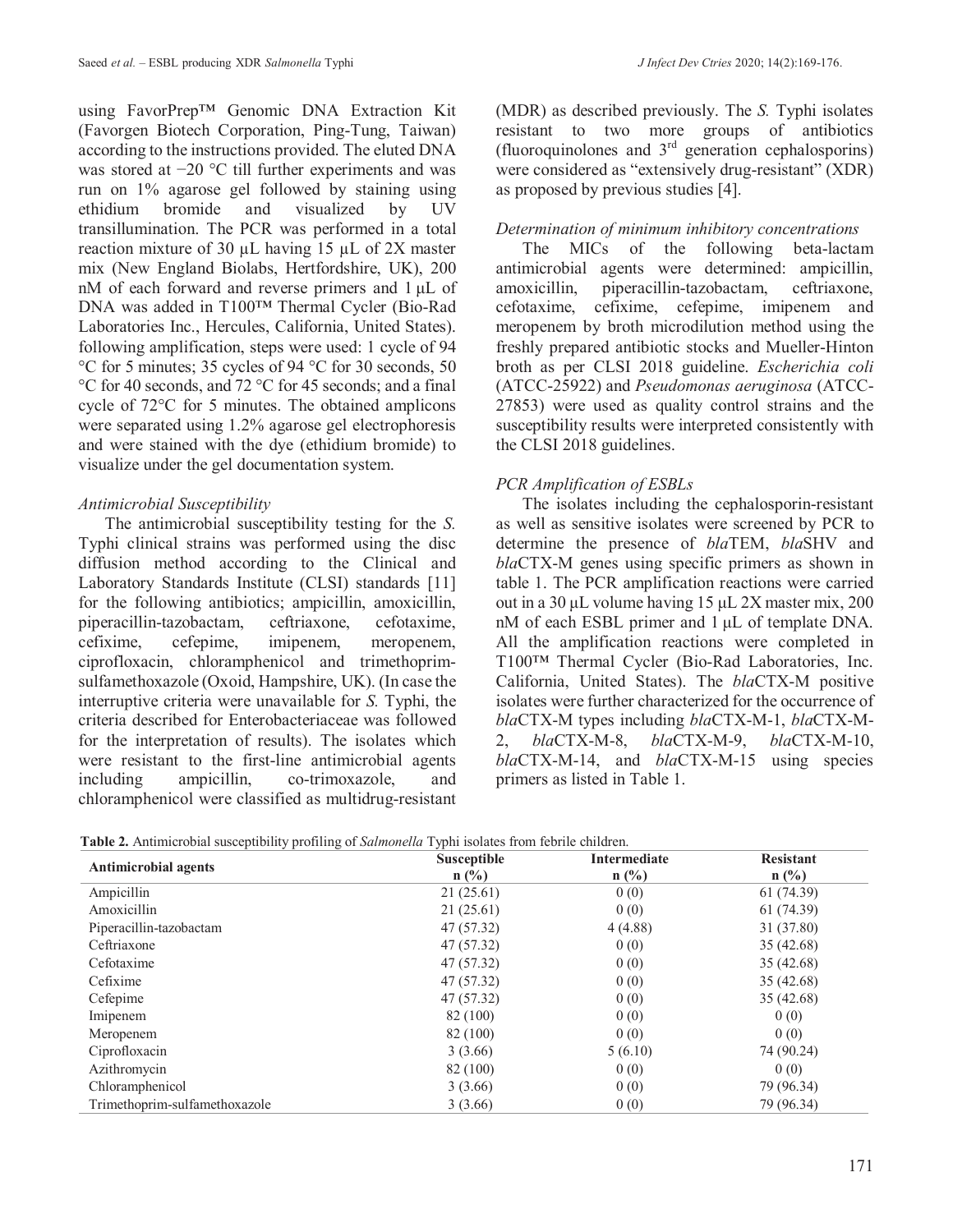using FavorPrep™ Genomic DNA Extraction Kit (Favorgen Biotech Corporation, Ping-Tung, Taiwan) according to the instructions provided. The eluted DNA was stored at −20 °C till further experiments and was run on 1% agarose gel followed by staining using ethidium bromide and visualized by UV transillumination. The PCR was performed in a total reaction mixture of 30 µL having 15 µL of 2X master mix (New England Biolabs, Hertfordshire, UK), 200 nM of each forward and reverse primers and 1 μL of DNA was added in T100™ Thermal Cycler (Bio-Rad Laboratories Inc., Hercules, California, United States). following amplification, steps were used: 1 cycle of 94 °C for 5 minutes; 35 cycles of 94 °C for 30 seconds, 50 °C for 40 seconds, and 72 °C for 45 seconds; and a final cycle of 72°C for 5 minutes. The obtained amplicons were separated using 1.2% agarose gel electrophoresis and were stained with the dye (ethidium bromide) to visualize under the gel documentation system.

### *Antimicrobial Susceptibility*

The antimicrobial susceptibility testing for the *S.* Typhi clinical strains was performed using the disc diffusion method according to the Clinical and Laboratory Standards Institute (CLSI) standards [11] for the following antibiotics; ampicillin, amoxicillin, piperacillin-tazobactam, ceftriaxone, cefotaxime, cefixime, cefepime, imipenem, meropenem, ciprofloxacin, chloramphenicol and trimethoprimsulfamethoxazole (Oxoid, Hampshire, UK). (In case the interruptive criteria were unavailable for *S.* Typhi, the criteria described for Enterobacteriaceae was followed for the interpretation of results). The isolates which were resistant to the first-line antimicrobial agents including ampicillin, co-trimoxazole, and chloramphenicol were classified as multidrug-resistant

(MDR) as described previously. The *S.* Typhi isolates resistant to two more groups of antibiotics (fluoroquinolones and  $3<sup>rd</sup>$  generation cephalosporins) were considered as "extensively drug-resistant" (XDR) as proposed by previous studies [4].

### *Determination of minimum inhibitory concentrations*

The MICs of the following beta-lactam antimicrobial agents were determined: ampicillin, amoxicillin, piperacillin-tazobactam, ceftriaxone, cefotaxime, cefixime, cefepime, imipenem and meropenem by broth microdilution method using the freshly prepared antibiotic stocks and Mueller-Hinton broth as per CLSI 2018 guideline. *Escherichia coli* (ATCC-25922) and *Pseudomonas aeruginosa* (ATCC-27853) were used as quality control strains and the susceptibility results were interpreted consistently with the CLSI 2018 guidelines.

# *PCR Amplification of ESBLs*

The isolates including the cephalosporin-resistant as well as sensitive isolates were screened by PCR to determine the presence of *bla*TEM, *bla*SHV and *bla*CTX-M genes using specific primers as shown in table 1. The PCR amplification reactions were carried out in a 30 μL volume having 15 μL 2X master mix, 200 nM of each ESBL primer and 1 μL of template DNA. All the amplification reactions were completed in T100™ Thermal Cycler (Bio-Rad Laboratories, Inc. California, United States). The *bla*CTX-M positive isolates were further characterized for the occurrence of *bla*CTX-M types including *bla*CTX-M-1, *bla*CTX-M-2, *bla*CTX-M-8, *bla*CTX-M-9, *bla*CTX-M-10, *bla*CTX-M-14, and *bla*CTX-M-15 using species primers as listed in Table 1.

| <b>Antimicrobial agents</b>   | <b>Susceptible</b> | Intermediate | <b>Resistant</b> |
|-------------------------------|--------------------|--------------|------------------|
|                               | $n$ (%)            | $n$ (%)      | $n$ (%)          |
| Ampicillin                    | 21(25.61)          | 0(0)         | 61(74.39)        |
| Amoxicillin                   | 21(25.61)          | 0(0)         | 61 (74.39)       |
| Piperacillin-tazobactam       | 47 (57.32)         | 4(4.88)      | 31 (37.80)       |
| Ceftriaxone                   | 47 (57.32)         | 0(0)         | 35(42.68)        |
| Cefotaxime                    | 47 (57.32)         | 0(0)         | 35(42.68)        |
| Cefixime                      | 47 (57.32)         | 0(0)         | 35(42.68)        |
| Cefepime                      | 47 (57.32)         | 0(0)         | 35(42.68)        |
| Imipenem                      | 82 (100)           | 0(0)         | 0(0)             |
| Meropenem                     | 82 (100)           | 0(0)         | 0(0)             |
| Ciprofloxacin                 | 3(3.66)            | 5(6.10)      | 74 (90.24)       |
| Azithromycin                  | 82 (100)           | 0(0)         | 0(0)             |
| Chloramphenicol               | 3(3.66)            | 0(0)         | 79 (96.34)       |
| Trimethoprim-sulfamethoxazole | 3(3.66)            | 0(0)         | 79 (96.34)       |

**Table 2.** Antimicrobial susceptibility profiling of *Salmonella* Typhi isolates from febrile children.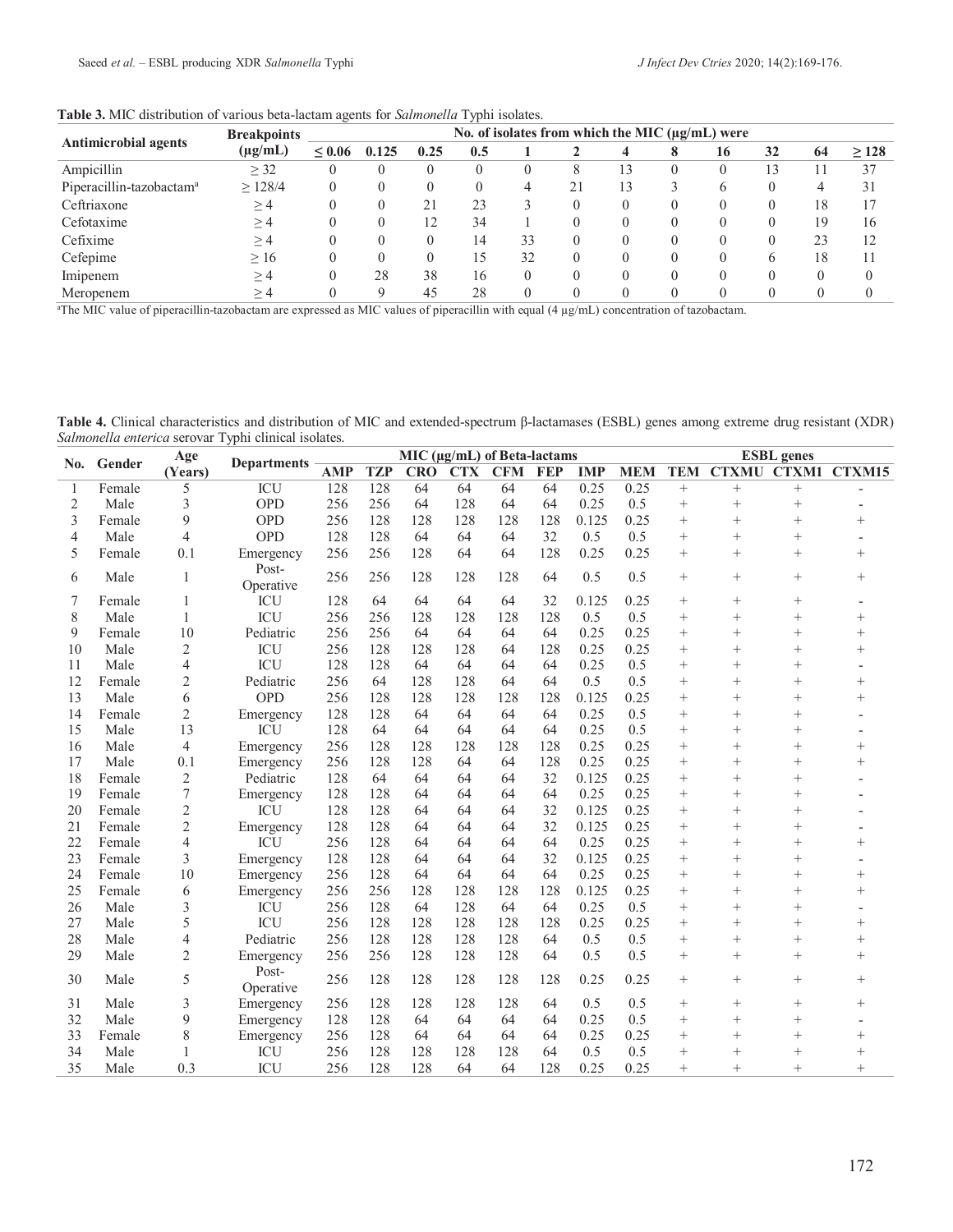| Table 3. MIC distribution of various beta-lactam agents for Salmonella Typhi isolates. |  |
|----------------------------------------------------------------------------------------|--|
|----------------------------------------------------------------------------------------|--|

| <b>Antimicrobial agents</b>          | <b>Breakpoints</b> | No. of isolates from which the MIC $(\mu\alpha/\mu L)$ were |       |      |     |          |    |    |  |    |    |    |            |
|--------------------------------------|--------------------|-------------------------------------------------------------|-------|------|-----|----------|----|----|--|----|----|----|------------|
|                                      | $(\mu g/mL)$       | $\leq 0.06$                                                 | 0.125 | 0.25 | 0.5 |          |    |    |  | 16 | 32 | 64 | $\geq$ 128 |
| Ampicillin                           | $\geq$ 32          |                                                             |       |      |     | $\theta$ | ⌒  | 13 |  |    | 13 |    | 37         |
| Piperacillin-tazobactam <sup>a</sup> | $\geq$ 128/4       |                                                             |       |      |     | 4        | 21 | 13 |  | 6  |    | 4  | 31         |
| Ceftriaxone                          | $\geq$ 4           |                                                             |       | 21   | 23  |          |    |    |  |    |    | 18 |            |
| Cefotaxime                           | $\geq 4$           |                                                             |       | 12   | 34  |          |    |    |  |    |    | 19 | 16         |
| Cefixime                             | $\geq$ 4           |                                                             |       |      | 14  | 33       |    |    |  |    |    | 23 |            |
| Cefepime                             | $\geq 16$          |                                                             |       |      | د،  | 32       |    |    |  |    | 6  | 18 |            |
| Imipenem                             | $\geq$ 4           |                                                             | 28    | 38   | 16  | $\theta$ |    |    |  |    |    |    |            |
| Meropenem                            | >4                 |                                                             |       | 45   | 28  | $\theta$ |    |    |  |    |    |    |            |

a The MIC value of piperacillin-tazobactam are expressed as MIC values of piperacillin with equal (4 µg/mL) concentration of tazobactam.

**Table 4.** Clinical characteristics and distribution of MIC and extended-spectrum β-lactamases (ESBL) genes among extreme drug resistant (XDR) *Salmonella enterica* serovar Typhi clinical isolates.

|                |            | Age<br>(Years) | <b>Departments</b>      | MIC (µg/mL) of Beta-lactams |            |            |            |            |            |            |            | <b>ESBL</b> genes |              |                |                |  |
|----------------|------------|----------------|-------------------------|-----------------------------|------------|------------|------------|------------|------------|------------|------------|-------------------|--------------|----------------|----------------|--|
|                | No. Gender |                |                         | <b>AMP</b>                  | <b>TZP</b> | <b>CRO</b> | <b>CTX</b> | <b>CFM</b> | <b>FEP</b> | <b>IMP</b> | <b>MEM</b> | <b>TEM</b>        | <b>CTXMU</b> | <b>CTXM1</b>   | CTXM15         |  |
| $\mathbf{1}$   | Female     | 5              | $\overline{\text{ICU}}$ | 128                         | 128        | 64         | 64         | 64         | 64         | 0.25       | 0.25       | $+$               | $+$          | $\ddot{}$      |                |  |
| $\overline{2}$ | Male       | 3              | OPD                     | 256                         | 256        | 64         | 128        | 64         | 64         | 0.25       | 0.5        | $^{+}$            | $^{+}$       | $^{+}$         |                |  |
| 3              | Female     | 9              | <b>OPD</b>              | 256                         | 128        | 128        | 128        | 128        | 128        | 0.125      | 0.25       | $^{+}$            | $^{+}$       | $\overline{+}$ | $^{+}$         |  |
| 4              | Male       | 4              | <b>OPD</b>              | 128                         | 128        | 64         | 64         | 64         | 32         | 0.5        | 0.5        | $^{+}$            | $^{+}$       | $^{+}$         |                |  |
| 5              | Female     | 0.1            | Emergency               | 256                         | 256        | 128        | 64         | 64         | 128        | 0.25       | 0.25       | $^{+}$            | $^{+}$       | $^{+}$         | $^{+}$         |  |
| 6              | Male       | $\mathbf{1}$   | Post-<br>Operative      | 256                         | 256        | 128        | 128        | 128        | 64         | 0.5        | 0.5        | $^{+}$            | $^{+}$       | $^{+}$         | $^{+}$         |  |
| 7              | Female     | 1              | <b>ICU</b>              | 128                         | 64         | 64         | 64         | 64         | 32         | 0.125      | 0.25       | $^{+}$            | $^{+}$       | $^{+}$         |                |  |
| 8              | Male       | 1              | <b>ICU</b>              | 256                         | 256        | 128        | 128        | 128        | 128        | 0.5        | 0.5        | $+$               | $+$          | $\overline{+}$ | $+$            |  |
| 9              | Female     | 10             | Pediatric               | 256                         | 256        | 64         | 64         | 64         | 64         | 0.25       | 0.25       | $^{+}$            | $^{+}$       | $^{+}$         | $^{+}$         |  |
| 10             | Male       | 2              | <b>ICU</b>              | 256                         | 128        | 128        | 128        | 64         | 128        | 0.25       | 0.25       | $+$               | $^{+}$       | $^{+}$         | $^{+}$         |  |
| 11             | Male       | 4              | <b>ICU</b>              | 128                         | 128        | 64         | 64         | 64         | 64         | 0.25       | 0.5        | $+$               | $^{+}$       | $^{+}$         |                |  |
| 12             | Female     | $\overline{c}$ | Pediatric               | 256                         | 64         | 128        | 128        | 64         | 64         | 0.5        | 0.5        | $^{+}$            | $^{+}$       | $^{+}$         | $^{+}$         |  |
| 13             | Male       | 6              | <b>OPD</b>              | 256                         | 128        | 128        | 128        | 128        | 128        | 0.125      | 0.25       | $^{+}$            | $^{+}$       | $\overline{+}$ | $^{+}$         |  |
| 14             | Female     | 2              | Emergency               | 128                         | 128        | 64         | 64         | 64         | 64         | 0.25       | 0.5        | $^{+}$            | $^{+}$       | $\overline{+}$ |                |  |
| 15             | Male       | 13             | <b>ICU</b>              | 128                         | 64         | 64         | 64         | 64         | 64         | 0.25       | 0.5        | $^{+}$            | $^{+}$       | $^{+}$         |                |  |
| 16             | Male       | $\overline{4}$ | Emergency               | 256                         | 128        | 128        | 128        | 128        | 128        | 0.25       | 0.25       | $^{+}$            | $^{+}$       | $^{+}$         | $^{+}$         |  |
| 17             | Male       | 0.1            | Emergency               | 256                         | 128        | 128        | 64         | 64         | 128        | 0.25       | 0.25       | $^{+}$            | $^{+}$       | $^{+}$         | $^{+}$         |  |
| 18             | Female     | $\overline{2}$ | Pediatric               | 128                         | 64         | 64         | 64         | 64         | 32         | 0.125      | 0.25       | $+$               | $^{+}$       | $^{+}$         |                |  |
| 19             | Female     | 7              | Emergency               | 128                         | 128        | 64         | 64         | 64         | 64         | 0.25       | 0.25       | $^{+}$            | $+$          | $^{+}$         |                |  |
| 20             | Female     | 2              | <b>ICU</b>              | 128                         | 128        | 64         | 64         | 64         | 32         | 0.125      | 0.25       | $^{+}$            | $^{+}$       | $^{+}$         |                |  |
| 21             | Female     | 2              | Emergency               | 128                         | 128        | 64         | 64         | 64         | 32         | 0.125      | 0.25       | $^{+}$            | $^{+}$       | $\overline{+}$ |                |  |
| 22             | Female     | 4              | <b>ICU</b>              | 256                         | 128        | 64         | 64         | 64         | 64         | 0.25       | 0.25       | $^{+}$            | $^{+}$       | $^{+}$         | $\overline{+}$ |  |
| 23             | Female     | 3              | Emergency               | 128                         | 128        | 64         | 64         | 64         | 32         | 0.125      | 0.25       | $^{+}$            | $^{+}$       | $\overline{+}$ |                |  |
| 24             | Female     | 10             | Emergency               | 256                         | 128        | 64         | 64         | 64         | 64         | 0.25       | 0.25       | $^{+}$            | $^{+}$       | $\overline{+}$ | $^{+}$         |  |
| 25             | Female     | 6              | Emergency               | 256                         | 256        | 128        | 128        | 128        | 128        | 0.125      | 0.25       | $+$               | $^{+}$       | $^{+}$         | $+$            |  |
| 26             | Male       | 3              | <b>ICU</b>              | 256                         | 128        | 64         | 128        | 64         | 64         | 0.25       | 0.5        | $^{+}$            | $^{+}$       | $^{+}$         |                |  |
| 27             | Male       | 5              | <b>ICU</b>              | 256                         | 128        | 128        | 128        | 128        | 128        | 0.25       | 0.25       | $^{+}$            | $^{+}$       | $^{+}$         | $^{+}$         |  |
| 28             | Male       | 4              | Pediatric               | 256                         | 128        | 128        | 128        | 128        | 64         | 0.5        | 0.5        | $^{+}$            | $^{+}$       | $^{+}$         | $^{+}$         |  |
| 29             | Male       | $\overline{2}$ | Emergency               | 256                         | 256        | 128        | 128        | 128        | 64         | 0.5        | 0.5        | $^{+}$            | $^{+}$       | $^{+}$         | $^{+}$         |  |
| 30             | Male       | 5              | Post-<br>Operative      | 256                         | 128        | 128        | 128        | 128        | 128        | 0.25       | 0.25       | $^{+}$            | $^{+}$       | $^{+}$         | $^{+}$         |  |
| 31             | Male       | 3              | Emergency               | 256                         | 128        | 128        | 128        | 128        | 64         | 0.5        | 0.5        | $^{+}$            | $^{+}$       | $^{+}$         | $+$            |  |
| 32             | Male       | 9              | Emergency               | 128                         | 128        | 64         | 64         | 64         | 64         | 0.25       | 0.5        | $^{+}$            | $^{+}$       | $\overline{+}$ |                |  |
| 33             | Female     | 8              | Emergency               | 256                         | 128        | 64         | 64         | 64         | 64         | 0.25       | 0.25       | $^{+}$            | $^{+}$       | $\overline{+}$ | $^{+}$         |  |
| 34             | Male       | 1              | <b>ICU</b>              | 256                         | 128        | 128        | 128        | 128        | 64         | 0.5        | 0.5        | $^{+}$            | $^{+}$       | $^{+}$         | $^{+}$         |  |
| 35             | Male       | 0.3            | <b>ICU</b>              | 256                         | 128        | 128        | 64         | 64         | 128        | 0.25       | 0.25       | $^{+}$            | $^{+}$       | $+$            | $+$            |  |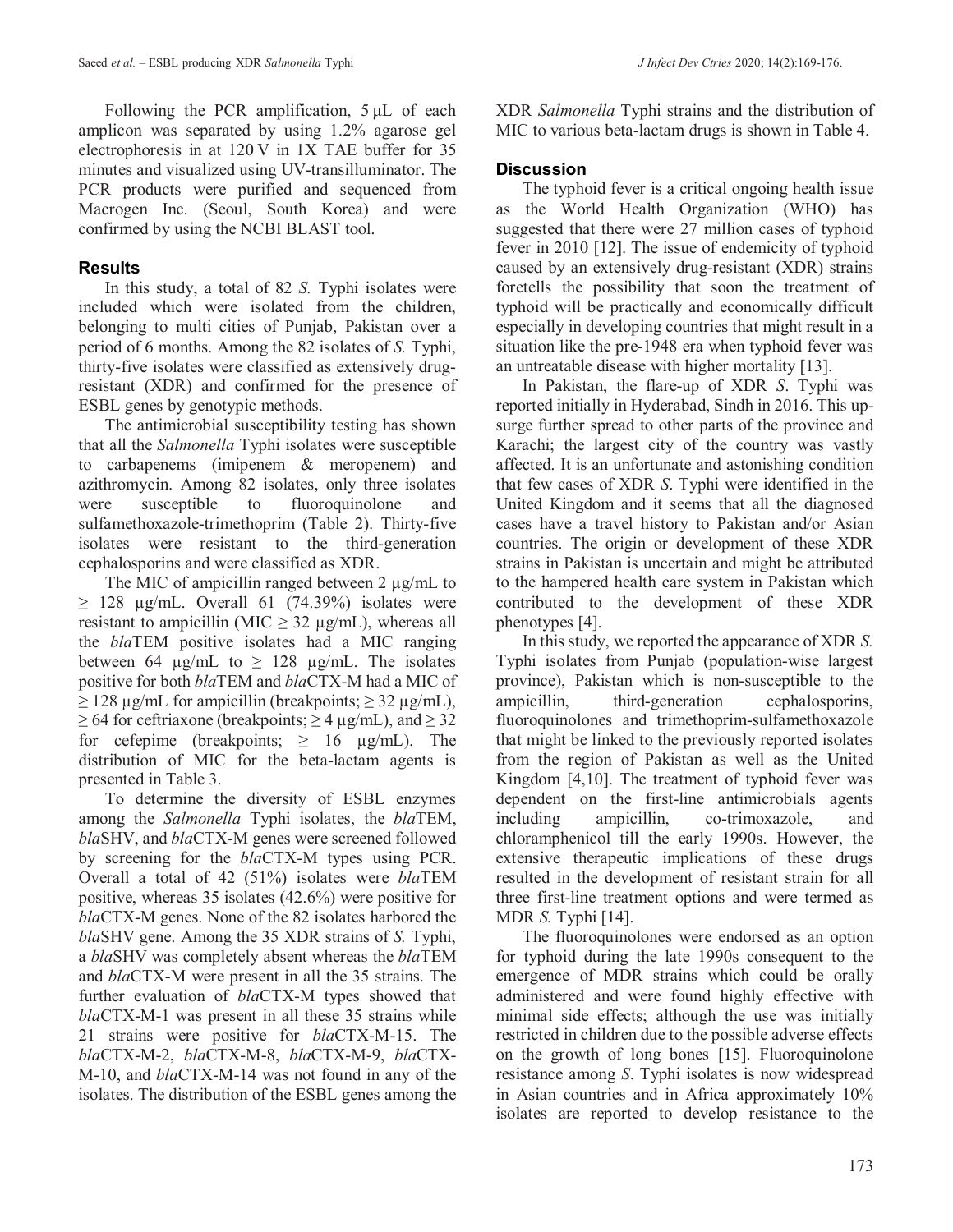Following the PCR amplification, 5 μL of each amplicon was separated by using 1.2% agarose gel electrophoresis in at 120 V in 1X TAE buffer for 35 minutes and visualized using UV-transilluminator. The PCR products were purified and sequenced from Macrogen Inc. (Seoul, South Korea) and were confirmed by using the NCBI BLAST tool.

# **Results**

In this study, a total of 82 *S.* Typhi isolates were included which were isolated from the children, belonging to multi cities of Punjab, Pakistan over a period of 6 months. Among the 82 isolates of *S.* Typhi, thirty-five isolates were classified as extensively drugresistant (XDR) and confirmed for the presence of ESBL genes by genotypic methods.

The antimicrobial susceptibility testing has shown that all the *Salmonella* Typhi isolates were susceptible to carbapenems (imipenem & meropenem) and azithromycin. Among 82 isolates, only three isolates were susceptible to fluoroquinolone and sulfamethoxazole-trimethoprim (Table 2). Thirty-five isolates were resistant to the third-generation cephalosporins and were classified as XDR.

The MIC of ampicillin ranged between  $2 \mu g/mL$  to  $\geq$  128 µg/mL. Overall 61 (74.39%) isolates were resistant to ampicillin (MIC  $\geq$  32 µg/mL), whereas all the *bla*TEM positive isolates had a MIC ranging between 64  $\mu$ g/mL to  $\geq$  128  $\mu$ g/mL. The isolates positive for both *bla*TEM and *bla*CTX-M had a MIC of  $\geq$  128 µg/mL for ampicillin (breakpoints;  $\geq$  32 µg/mL),  $\geq$  64 for ceftriaxone (breakpoints;  $\geq$  4  $\mu$ g/mL), and  $\geq$  32 for cefepime (breakpoints;  $\geq 16$  µg/mL). The distribution of MIC for the beta-lactam agents is presented in Table 3.

To determine the diversity of ESBL enzymes among the *Salmonella* Typhi isolates, the *bla*TEM, *bla*SHV, and *bla*CTX-M genes were screened followed by screening for the *bla*CTX-M types using PCR. Overall a total of 42 (51%) isolates were *bla*TEM positive, whereas 35 isolates (42.6%) were positive for *bla*CTX-M genes. None of the 82 isolates harbored the *bla*SHV gene. Among the 35 XDR strains of *S.* Typhi, a *bla*SHV was completely absent whereas the *bla*TEM and *bla*CTX-M were present in all the 35 strains. The further evaluation of *bla*CTX-M types showed that *bla*CTX-M-1 was present in all these 35 strains while 21 strains were positive for *bla*CTX-M-15. The *bla*CTX-M-2, *bla*CTX-M-8, *bla*CTX-M-9, *bla*CTX-M-10, and *bla*CTX-M-14 was not found in any of the isolates. The distribution of the ESBL genes among the XDR *Salmonella* Typhi strains and the distribution of MIC to various beta-lactam drugs is shown in Table 4.

# **Discussion**

The typhoid fever is a critical ongoing health issue as the World Health Organization (WHO) has suggested that there were 27 million cases of typhoid fever in 2010 [12]. The issue of endemicity of typhoid caused by an extensively drug-resistant (XDR) strains foretells the possibility that soon the treatment of typhoid will be practically and economically difficult especially in developing countries that might result in a situation like the pre-1948 era when typhoid fever was an untreatable disease with higher mortality [13].

In Pakistan, the flare-up of XDR *S*. Typhi was reported initially in Hyderabad, Sindh in 2016. This upsurge further spread to other parts of the province and Karachi; the largest city of the country was vastly affected. It is an unfortunate and astonishing condition that few cases of XDR *S*. Typhi were identified in the United Kingdom and it seems that all the diagnosed cases have a travel history to Pakistan and/or Asian countries. The origin or development of these XDR strains in Pakistan is uncertain and might be attributed to the hampered health care system in Pakistan which contributed to the development of these XDR phenotypes [4].

In this study, we reported the appearance of XDR *S.* Typhi isolates from Punjab (population-wise largest province), Pakistan which is non-susceptible to the ampicillin, third-generation cephalosporins, fluoroquinolones and trimethoprim-sulfamethoxazole that might be linked to the previously reported isolates from the region of Pakistan as well as the United Kingdom [4,10]. The treatment of typhoid fever was dependent on the first-line antimicrobials agents including ampicillin, co-trimoxazole, and chloramphenicol till the early 1990s. However, the extensive therapeutic implications of these drugs resulted in the development of resistant strain for all three first-line treatment options and were termed as MDR *S.* Typhi [14].

The fluoroquinolones were endorsed as an option for typhoid during the late 1990s consequent to the emergence of MDR strains which could be orally administered and were found highly effective with minimal side effects; although the use was initially restricted in children due to the possible adverse effects on the growth of long bones [15]. Fluoroquinolone resistance among *S*. Typhi isolates is now widespread in Asian countries and in Africa approximately 10% isolates are reported to develop resistance to the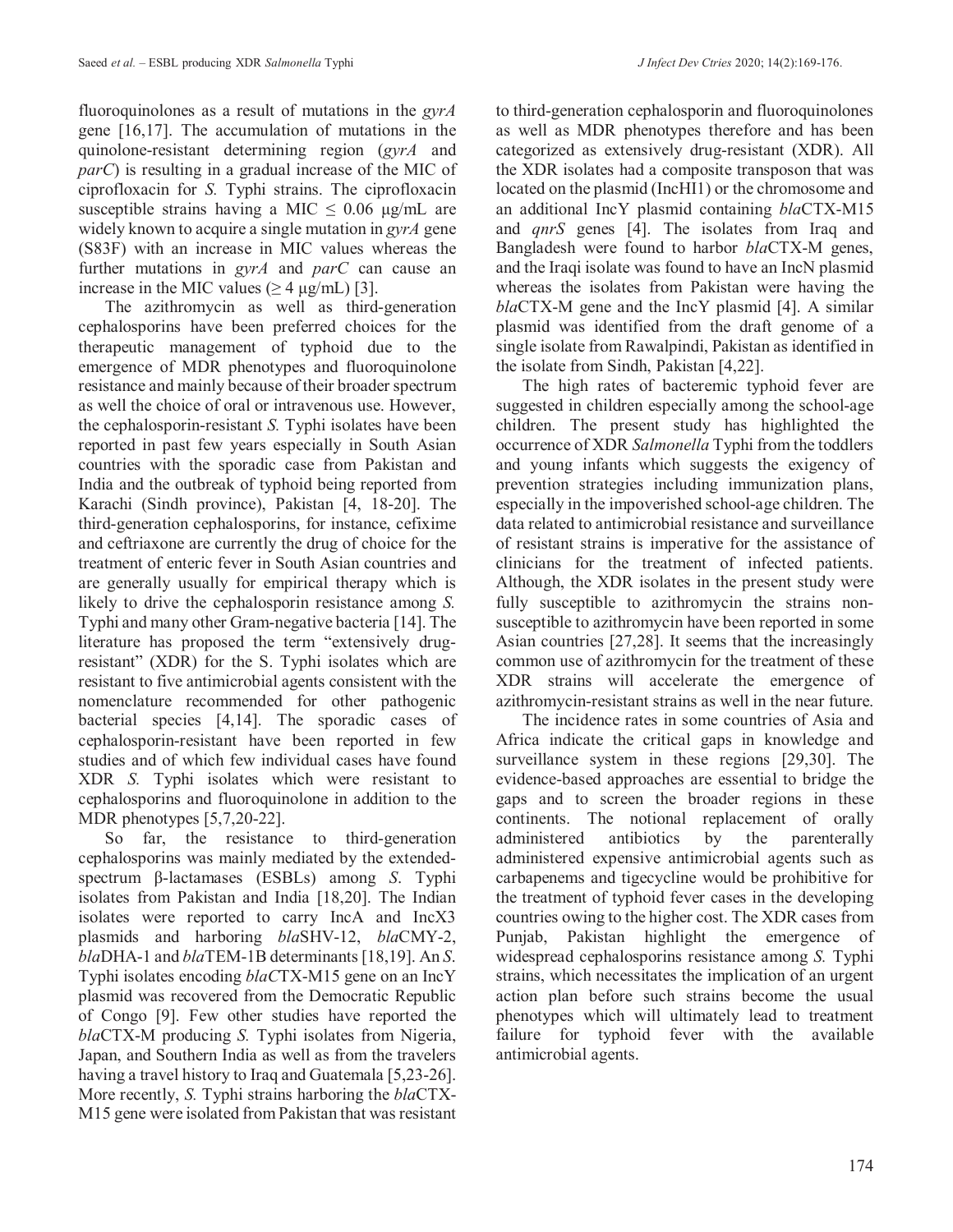fluoroquinolones as a result of mutations in the *gyrA* gene [16,17]. The accumulation of mutations in the quinolone-resistant determining region (*gyrA* and *parC*) is resulting in a gradual increase of the MIC of ciprofloxacin for *S.* Typhi strains. The ciprofloxacin susceptible strains having a MIC  $\leq$  0.06 μg/mL are widely known to acquire a single mutation in *gyrA* gene (S83F) with an increase in MIC values whereas the further mutations in *gyrA* and *parC* can cause an increase in the MIC values ( $\geq 4 \mu g/mL$ ) [3].

The azithromycin as well as third-generation cephalosporins have been preferred choices for the therapeutic management of typhoid due to the emergence of MDR phenotypes and fluoroquinolone resistance and mainly because of their broader spectrum as well the choice of oral or intravenous use. However, the cephalosporin-resistant *S.* Typhi isolates have been reported in past few years especially in South Asian countries with the sporadic case from Pakistan and India and the outbreak of typhoid being reported from Karachi (Sindh province), Pakistan [4, 18-20]. The third-generation cephalosporins, for instance, cefixime and ceftriaxone are currently the drug of choice for the treatment of enteric fever in South Asian countries and are generally usually for empirical therapy which is likely to drive the cephalosporin resistance among *S.* Typhi and many other Gram-negative bacteria [14]. The literature has proposed the term "extensively drugresistant" (XDR) for the S. Typhi isolates which are resistant to five antimicrobial agents consistent with the nomenclature recommended for other pathogenic bacterial species [4,14]. The sporadic cases of cephalosporin-resistant have been reported in few studies and of which few individual cases have found XDR *S.* Typhi isolates which were resistant to cephalosporins and fluoroquinolone in addition to the MDR phenotypes [5,7,20-22].

So far, the resistance to third-generation cephalosporins was mainly mediated by the extendedspectrum β-lactamases (ESBLs) among *S*. Typhi isolates from Pakistan and India [18,20]. The Indian isolates were reported to carry IncA and IncX3 plasmids and harboring *bla*SHV-12, *bla*CMY-2, *bla*DHA-1 and *bla*TEM-1B determinants [18,19]. An *S*. Typhi isolates encoding *blaC*TX-M15 gene on an IncY plasmid was recovered from the Democratic Republic of Congo [9]. Few other studies have reported the *bla*CTX-M producing *S.* Typhi isolates from Nigeria, Japan, and Southern India as well as from the travelers having a travel history to Iraq and Guatemala [5,23-26]. More recently, *S.* Typhi strains harboring the *bla*CTX-M15 gene were isolated from Pakistan that was resistant to third-generation cephalosporin and fluoroquinolones as well as MDR phenotypes therefore and has been categorized as extensively drug-resistant (XDR). All the XDR isolates had a composite transposon that was located on the plasmid (IncHI1) or the chromosome and an additional IncY plasmid containing *bla*CTX-M15 and *qnrS* genes [4]. The isolates from Iraq and Bangladesh were found to harbor *bla*CTX-M genes, and the Iraqi isolate was found to have an IncN plasmid whereas the isolates from Pakistan were having the *bla*CTX-M gene and the IncY plasmid [4]. A similar plasmid was identified from the draft genome of a single isolate from Rawalpindi, Pakistan as identified in the isolate from Sindh, Pakistan [4,22].

The high rates of bacteremic typhoid fever are suggested in children especially among the school-age children. The present study has highlighted the occurrence of XDR *Salmonella* Typhi from the toddlers and young infants which suggests the exigency of prevention strategies including immunization plans, especially in the impoverished school-age children. The data related to antimicrobial resistance and surveillance of resistant strains is imperative for the assistance of clinicians for the treatment of infected patients. Although, the XDR isolates in the present study were fully susceptible to azithromycin the strains nonsusceptible to azithromycin have been reported in some Asian countries [27,28]. It seems that the increasingly common use of azithromycin for the treatment of these XDR strains will accelerate the emergence of azithromycin-resistant strains as well in the near future.

The incidence rates in some countries of Asia and Africa indicate the critical gaps in knowledge and surveillance system in these regions [29,30]. The evidence-based approaches are essential to bridge the gaps and to screen the broader regions in these continents. The notional replacement of orally administered antibiotics by the parenterally administered expensive antimicrobial agents such as carbapenems and tigecycline would be prohibitive for the treatment of typhoid fever cases in the developing countries owing to the higher cost. The XDR cases from Punjab, Pakistan highlight the emergence of widespread cephalosporins resistance among *S.* Typhi strains, which necessitates the implication of an urgent action plan before such strains become the usual phenotypes which will ultimately lead to treatment failure for typhoid fever with the available antimicrobial agents.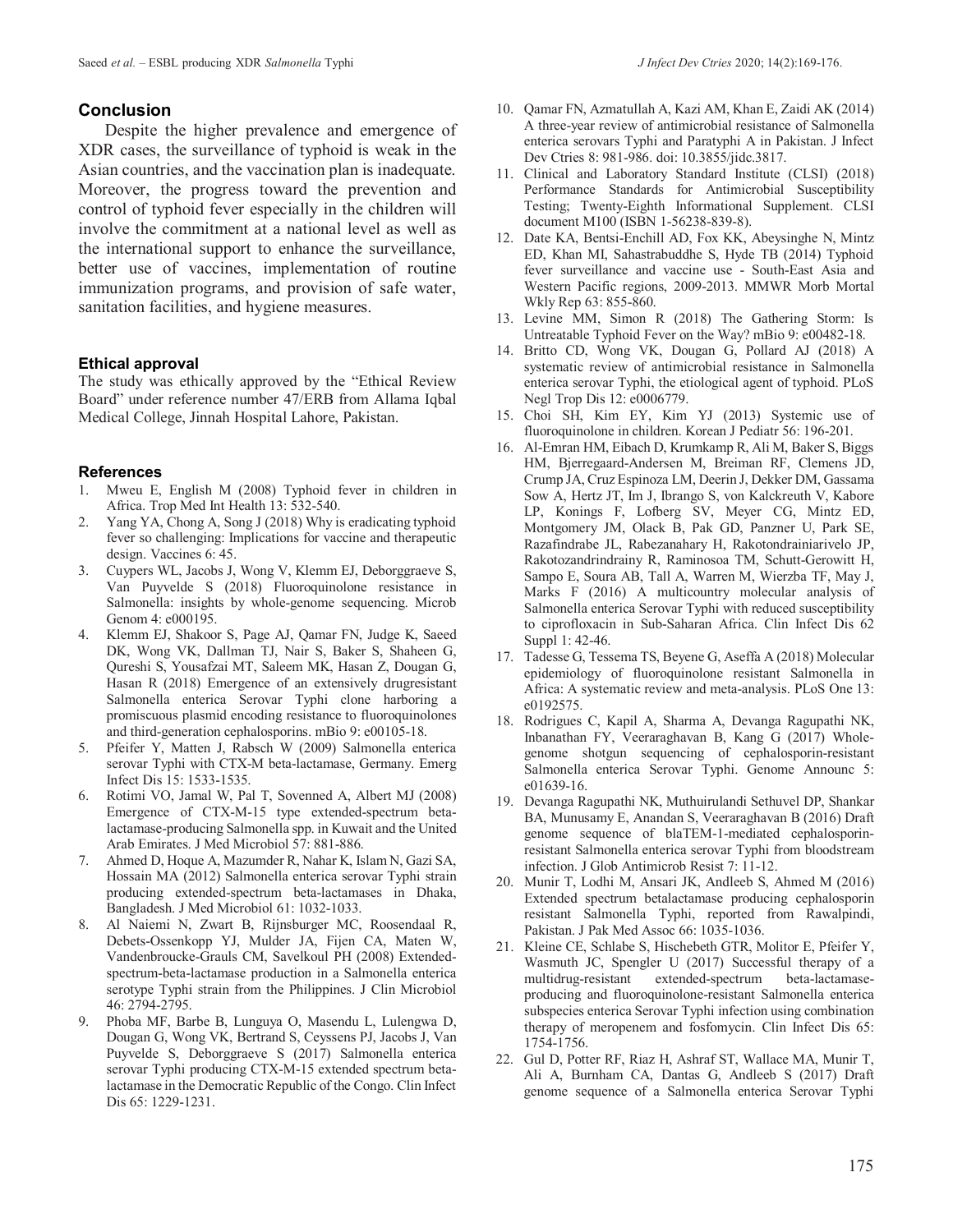#### **Conclusion**

Despite the higher prevalence and emergence of XDR cases, the surveillance of typhoid is weak in the Asian countries, and the vaccination plan is inadequate. Moreover, the progress toward the prevention and control of typhoid fever especially in the children will involve the commitment at a national level as well as the international support to enhance the surveillance, better use of vaccines, implementation of routine immunization programs, and provision of safe water, sanitation facilities, and hygiene measures.

#### **Ethical approval**

The study was ethically approved by the "Ethical Review Board" under reference number 47/ERB from Allama Iqbal Medical College, Jinnah Hospital Lahore, Pakistan.

# **References**<br>1. Mweu E

- Mweu E, English M (2008) Typhoid fever in children in Africa. Trop Med Int Health 13: 532-540.
- 2. Yang YA, Chong A, Song J (2018) Why is eradicating typhoid fever so challenging: Implications for vaccine and therapeutic design. Vaccines 6: 45.
- 3. Cuypers WL, Jacobs J, Wong V, Klemm EJ, Deborggraeve S, Van Puyvelde S (2018) Fluoroquinolone resistance in Salmonella: insights by whole-genome sequencing. Microb Genom 4: e000195.
- 4. Klemm EJ, Shakoor S, Page AJ, Qamar FN, Judge K, Saeed DK, Wong VK, Dallman TJ, Nair S, Baker S, Shaheen G, Qureshi S, Yousafzai MT, Saleem MK, Hasan Z, Dougan G, Hasan R (2018) Emergence of an extensively drugresistant Salmonella enterica Serovar Typhi clone harboring a promiscuous plasmid encoding resistance to fluoroquinolones and third-generation cephalosporins. mBio 9: e00105-18.
- 5. Pfeifer Y, Matten J, Rabsch W (2009) Salmonella enterica serovar Typhi with CTX-M beta-lactamase, Germany. Emerg Infect Dis 15: 1533-1535.
- 6. Rotimi VO, Jamal W, Pal T, Sovenned A, Albert MJ (2008) Emergence of CTX-M-15 type extended-spectrum betalactamase-producing Salmonella spp. in Kuwait and the United Arab Emirates. J Med Microbiol 57: 881-886.
- 7. Ahmed D, Hoque A, Mazumder R, Nahar K, Islam N, Gazi SA, Hossain MA (2012) Salmonella enterica serovar Typhi strain producing extended-spectrum beta-lactamases in Dhaka, Bangladesh. J Med Microbiol 61: 1032-1033.
- 8. Al Naiemi N, Zwart B, Rijnsburger MC, Roosendaal R, Debets-Ossenkopp YJ, Mulder JA, Fijen CA, Maten W, Vandenbroucke-Grauls CM, Savelkoul PH (2008) Extendedspectrum-beta-lactamase production in a Salmonella enterica serotype Typhi strain from the Philippines. J Clin Microbiol 46: 2794-2795.
- 9. Phoba MF, Barbe B, Lunguya O, Masendu L, Lulengwa D, Dougan G, Wong VK, Bertrand S, Ceyssens PJ, Jacobs J, Van Puyvelde S, Deborggraeve S (2017) Salmonella enterica serovar Typhi producing CTX-M-15 extended spectrum betalactamase in the Democratic Republic of the Congo. Clin Infect Dis 65: 1229-1231.
- 10. Qamar FN, Azmatullah A, Kazi AM, Khan E, Zaidi AK (2014) A three-year review of antimicrobial resistance of Salmonella enterica serovars Typhi and Paratyphi A in Pakistan. J Infect Dev Ctries 8: 981-986. doi: 10.3855/jidc.3817.
- 11. Clinical and Laboratory Standard Institute (CLSI) (2018) Performance Standards for Antimicrobial Susceptibility Testing; Twenty-Eighth Informational Supplement. CLSI document M100 (ISBN 1-56238-839-8).
- 12. Date KA, Bentsi-Enchill AD, Fox KK, Abeysinghe N, Mintz ED, Khan MI, Sahastrabuddhe S, Hyde TB (2014) Typhoid fever surveillance and vaccine use - South-East Asia and Western Pacific regions, 2009-2013. MMWR Morb Mortal Wkly Rep 63: 855-860.
- 13. Levine MM, Simon R (2018) The Gathering Storm: Is Untreatable Typhoid Fever on the Way? mBio 9: e00482-18.
- 14. Britto CD, Wong VK, Dougan G, Pollard AJ (2018) A systematic review of antimicrobial resistance in Salmonella enterica serovar Typhi, the etiological agent of typhoid. PLoS Negl Trop Dis 12: e0006779.
- 15. Choi SH, Kim EY, Kim YJ (2013) Systemic use of fluoroquinolone in children. Korean J Pediatr 56: 196-201.
- 16. Al-Emran HM, Eibach D, Krumkamp R, Ali M, Baker S, Biggs HM, Bjerregaard-Andersen M, Breiman RF, Clemens JD, Crump JA, Cruz Espinoza LM, Deerin J, Dekker DM, Gassama Sow A, Hertz JT, Im J, Ibrango S, von Kalckreuth V, Kabore LP, Konings F, Lofberg SV, Meyer CG, Mintz ED, Montgomery JM, Olack B, Pak GD, Panzner U, Park SE, Razafindrabe JL, Rabezanahary H, Rakotondrainiarivelo JP, Rakotozandrindrainy R, Raminosoa TM, Schutt-Gerowitt H, Sampo E, Soura AB, Tall A, Warren M, Wierzba TF, May J, Marks F (2016) A multicountry molecular analysis of Salmonella enterica Serovar Typhi with reduced susceptibility to ciprofloxacin in Sub-Saharan Africa. Clin Infect Dis 62 Suppl 1: 42-46.
- 17. Tadesse G, Tessema TS, Beyene G, Aseffa A (2018) Molecular epidemiology of fluoroquinolone resistant Salmonella in Africa: A systematic review and meta-analysis. PLoS One 13: e0192575.
- 18. Rodrigues C, Kapil A, Sharma A, Devanga Ragupathi NK, Inbanathan FY, Veeraraghavan B, Kang G (2017) Wholegenome shotgun sequencing of cephalosporin-resistant Salmonella enterica Serovar Typhi. Genome Announc 5: e01639-16.
- 19. Devanga Ragupathi NK, Muthuirulandi Sethuvel DP, Shankar BA, Munusamy E, Anandan S, Veeraraghavan B (2016) Draft genome sequence of blaTEM-1-mediated cephalosporinresistant Salmonella enterica serovar Typhi from bloodstream infection. J Glob Antimicrob Resist 7: 11-12.
- 20. Munir T, Lodhi M, Ansari JK, Andleeb S, Ahmed M (2016) Extended spectrum betalactamase producing cephalosporin resistant Salmonella Typhi, reported from Rawalpindi, Pakistan. J Pak Med Assoc 66: 1035-1036.
- 21. Kleine CE, Schlabe S, Hischebeth GTR, Molitor E, Pfeifer Y, Wasmuth JC, Spengler U (2017) Successful therapy of a multidrug-resistant extended-spectrum beta-lactamaseproducing and fluoroquinolone-resistant Salmonella enterica subspecies enterica Serovar Typhi infection using combination therapy of meropenem and fosfomycin. Clin Infect Dis 65: 1754-1756.
- 22. Gul D, Potter RF, Riaz H, Ashraf ST, Wallace MA, Munir T, Ali A, Burnham CA, Dantas G, Andleeb S (2017) Draft genome sequence of a Salmonella enterica Serovar Typhi